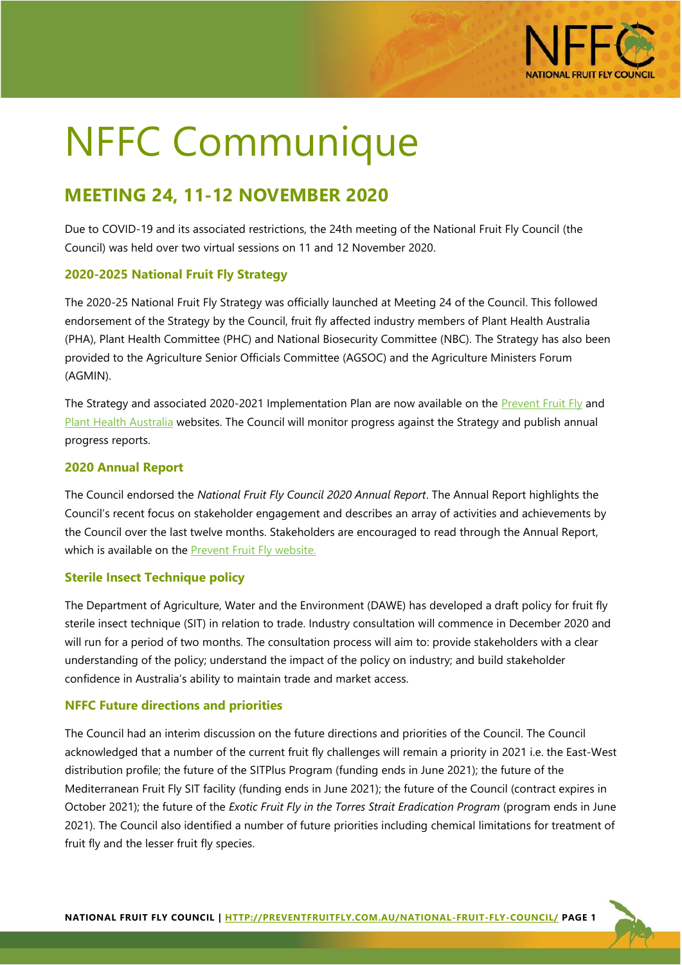

# NFFC Communique

# **MEETING 24, 11-12 NOVEMBER 2020**

Due to COVID-19 and its associated restrictions, the 24th meeting of the National Fruit Fly Council (the Council) was held over two virtual sessions on 11 and 12 November 2020.

## **2020-2025 National Fruit Fly Strategy**

The 2020-25 National Fruit Fly Strategy was officially launched at Meeting 24 of the Council. This followed endorsement of the Strategy by the Council, fruit fly affected industry members of Plant Health Australia (PHA), Plant Health Committee (PHC) and National Biosecurity Committee (NBC). The Strategy has also been provided to the Agriculture Senior Officials Committee (AGSOC) and the Agriculture Ministers Forum (AGMIN).

The Strategy and associated 2020-2021 Implementation Plan are now available on the [Prevent Fruit Fly](https://preventfruitfly.com.au/national-coordination/national-fruit-fly-strategy/) and [Plant Health Australia](https://www.planthealthaustralia.com.au/national-programs/fruit-fly/national-fruit-fly-strategy/) websites. The Council will monitor progress against the Strategy and publish annual progress reports.

## **2020 Annual Report**

The Council endorsed the *National Fruit Fly Council 2020 Annual Report*. The Annual Report highlights the Council's recent focus on stakeholder engagement and describes an array of activities and achievements by the Council over the last twelve months. Stakeholders are encouraged to read through the Annual Report, which is available on the [Prevent Fruit Fly website.](https://preventfruitfly.com.au/national-coordination/national-fruit-fly-council/)

#### **Sterile Insect Technique policy**

The Department of Agriculture, Water and the Environment (DAWE) has developed a draft policy for fruit fly sterile insect technique (SIT) in relation to trade. Industry consultation will commence in December 2020 and will run for a period of two months. The consultation process will aim to: provide stakeholders with a clear understanding of the policy; understand the impact of the policy on industry; and build stakeholder confidence in Australia's ability to maintain trade and market access.

#### **NFFC Future directions and priorities**

The Council had an interim discussion on the future directions and priorities of the Council. The Council acknowledged that a number of the current fruit fly challenges will remain a priority in 2021 i.e. the East-West distribution profile; the future of the SITPlus Program (funding ends in June 2021); the future of the Mediterranean Fruit Fly SIT facility (funding ends in June 2021); the future of the Council (contract expires in October 2021); the future of the *Exotic Fruit Fly in the Torres Strait Eradication Program* (program ends in June 2021). The Council also identified a number of future priorities including chemical limitations for treatment of fruit fly and the lesser fruit fly species.